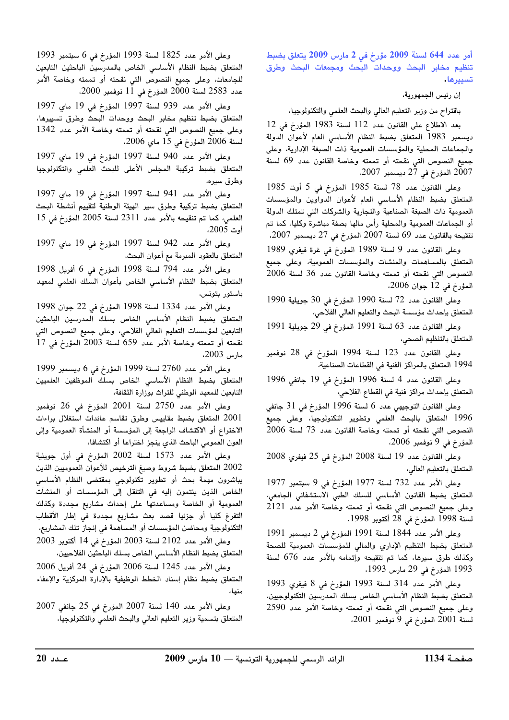أمر عدد 644 لسنة 2009 مؤرخ في 2 مارس 2009 يتعلق بضبط تنظيم مخابر البحث ووحدات البحث ومجمعات البحث وطرق تسييرها،

ان رئيس الجمهورية،

باقتراح من وزير التعليم العالي والبحث العلمي والتكنولوجيا،

بعد الإطلاع على القانون عدد 112 لسنة 1983 المؤرخ في 12 ديسمبر 1983 المتعلق بضبط النظام الأساسي العام لأعوان الدولة ، الجماعات المجلبة والمؤسسات العمومية ذات الصيغة الإدارية، وعلى جميع النصوص التي نقحته أو تممته وخاصة القانون عدد 69 لسنة  $2007$  المؤرخ في 27 ديسمبر 2007،

 $1985$  وعلى القانون عدد 78 لسنة 1985 المؤرخ في 5 أوت المتعلق بضبط النظام الأساسي العام لأعوان الدواوين والمؤسسات العمومية ذات الصيغة الصناعية والتجارية والشركات التي تمتلك الدولة .<br>أو الجماعات العمومية والمحلية رأس مالها بصفة مباشرة وكليا، كما تم  $\cdot 2007$  تنقيحه بالقانون عدد 69 لسنة 2007 المؤرخ في 27 ديسمبر:

وعلى القانون عدد 9 لسنة 1989 المؤرخ في غرة فيفري 1989 المتعلق بالمساهمات والمنشآت والمؤسسات العمومية، وعلى جميع  $2006\,$  النصوص التي نقحته أو تممته وخاصة القانون عدد 36 لسنة  $\sim$ المؤرخ في 12 حوان 2006،

 $1990$  وعلى القانون عدد 72 لسنة 1990 المؤرخ في 30 حويلية 1990 المتعلق بإحداث مؤسسة البحث والتعليم العالى الفلاحي،

 $1991$  وعلى القانون عدد 63 لسنة 1991 المؤرخ في 29 حويلية 1991 المتعلق بالتنظيم الصحي،

وعلى القانون عدد 123 لسنة 1994 المؤرخ في 28 نوفمبر 1994 المتعلق بالمراكز الفنية في القطاعات الصناعية،

 $1996$  وعلى القانون عدد 4 لسنة 1996 المؤرخ في 19 جانف 1996 المتعلق بإحداث مراكز فنية في القطاع الفلاحي،

وعلى القانون التوحيص عدد 6 لسنة 1996 المؤرخ في 31 حانفي 1996 المتعلق بالبحث العلمي وتطوير التكنولوجيا، وعلى جميع النصوص التي نقحته أو تممته وخاصة القانون عدد 73 لسنة 2006  $\lambda$ المؤرخ في 9 نوفمبر 2006،

 $2008$  وعلى القانون عدد 19 لسنة 2008 المؤرخ في 25 فيفري 2008 المتعلق بالتعليم العالي،

 $1977$  وعلى الأمر عدد 732 لسنة 1977 المؤرخ في 9 سبتمد 1977 المتعلق بضبط القانون الأساسي للسلك الطبي الاستشفائي الجامعي، وعلى جميع النصوص التي نقحته أو تممته وخاصة الأمر عدد 2121  $\frac{1998}{28}$  يسنة 1998 المؤرخ في 28 أكتوبر 1998،

 $1991$  وعلى الأمر عدد 1844 لسنة 1991 المؤرخ في 2 ديسمد 1991 المتعلق بضبط التنظيم الإداري والمالى للمؤسسات العمومية للصحة وكذلك طرق سيرها، كما تم تنقيحه وإتمامه بالأمر عدد 676 لسنة 1993 المؤرخ في 29 مارس 1993،

لميع المصوص التي تعطيم الواقعية العامل المركز عدد 2550 × 2010 المتعلق بتسمية وزير التعليم العالي والبحث العلمي والتكنولوجيا،<br>200 المؤرخ في 9 نوفمبر 2001،<br><mark>4 1134 -</mark> 1134 - الرائد الرسمي للجمهورية التونسية — 10 مارس 2009 -وعلى الأمر عدد 314 لسنة 1993 المؤرخ في 8 فيفري 1993 المتعلق بضبط النظام الأساسي الخاص بسلك المدرسين التكنولوجيين، وعلى جميع النصوص التي نقحته أو تممته وخاصة الأمر عدد 2590  $2001$  المؤرخ في 9 نوفمبر 2001،

 $1993$  وعلى الأمر عدد 1825 لسنة 1993 المؤرخ في 6 سبتمد 1993 المتعلق بضبط النظام الأساسي الخاص بالمدرسين الباحثين التابعين للجامعات، وعلى جميع النصوص التي نقحته أو تممته وخاصة الأمر  $2000$  عدد 2583 لسنة 2000 المؤرخ في  $1\,\rm{l}$  نوفمد 2000،

وعلى الأمر عدد 939 لسنة 1997 المؤرخ في 19 ماي 1997 المتعلق بضبط تنظيم مخابر البحث ووحدات البحث وطرق تسييرها، وعلى جميع النصوص التي نقحته أو تممته وخاصة الأمر عدد 1342  $\sim$ 2006  $\geq 2006$  المؤرخ في 15 ماي 2006،

وعلى الأمر عدد 940 لسنة 1997 المؤرخ في 19 ماي 1997 المتعلق بضبط تركيبة المجلس الأعلى للبحث العلمي والتكنولوجيا وطرق سيره،

وعلى الأمر عدد 941 لسنة 1997 المؤرخ في 19 ماي 1997 المتعلق بضبط تركيبة وطرق سير الهيئة الوطنية لتقييم أنشطة البحث  $15$  العلمي، كما تم تنقيحه بالأمر عدد  $11$ 23 لسنة 2005 المؤرخ في أوت 2005،

وعلى الأمر عدد 942 لسنة 1997 المؤرخ في 19 ماي 1997 المتعلق بالعقود المبرمة مع أعوان البحث،

وعلى الأمر عدد 794 لسنة 1998 المؤرخ في 6 أفريل 1998 المتعلق بضبط النظام الأساسي الخاص بأعوان السلك العلمي لمعهد .<br>باستور بتونس،

 $1998$  وعلى الأمر عدد 1334 لسنة 1998 المؤرخ في 22 حوان 1998 المتعلق بضبط النظام الأساسي الخاص بسلك المدرسين الباحثين التابعين لمؤسسات التعليم العالي الفلاحي، وعلى جميع النصوص التي  $\overline{17}$  نقحته أو تممته وخاصة الأمر عدد 659 لسنة 2003 المؤرخ في  $\overline{17}$ مارس 2003**،** 

 $1999$  وعلى الأمر عدد 2760 لسنة 1999 المؤرخ في 6 ديسمبر 1999 المتعلق بضبط النظام الأساسى الخاص بسلك الموظفين العلميين التابعين للمعهد الوطني للتراث بوزارة الثقافة،

 $\frac{1}{2}$ وعلى الأمر عدد 2750 لسنة 2001 المؤرخ في 26 نوفمبر .<br>2001 المتعلق بضبط مقاييس وطرق تقاسم عائدات استغلال براءات الاختراع أو الاكتشاف الراجعة إلى المؤسسة أو المنشأة العمومية وإلى العون العمومى الباحث الذي ينجز اختراعا أو اكتشافا،

وعلى الأمر عدد 1573 لسنة 2002 المؤرخ في أول حويلية 2002 المتعلق بضبط شروط وصيغ الترخيص للأعوان العموميين الذين يباشرون مهمة بحث أو تطوير تكنولوجي بمقتضى النظام الأساسي الخاص الذين ينتمون إليه في التنقل إلى المؤسسات أو المنشآت .<br>العمومية أو الخاصة ومساعدتها على احداث مشاريع محددة وكذلك .<br>التفرغ كليا أو جزئيا قصد يعث مشاريع محددة في إطار الأقطاب ^`-I V 83C )LD /\$ 5D0 t9
/ )- N 

 $2003$  وعلى الأمر عدد 2102 لسنة 2003 المؤرخ في 14 أكتوبر 2003 المتعلق بضبط النظام الأساسي الخاص بسلك الباحثين الفلاحيين،

 $2006$  وعلى الأمر عدد 1245 لسنة 2006 المؤرخ في 24 أفريل 2006 المتعلق بضبط نظام اسناد الخطط الوظيفية بالآدارة المركزية والإعفاء منها،

 $2007$  وعلى الأمر عدد 140 لسنة 2007 المؤرخ في 25 جانفي 2007 المتعلق بتسمية وزير التعليم العالي والبحث العلمي والتكنولوجيا،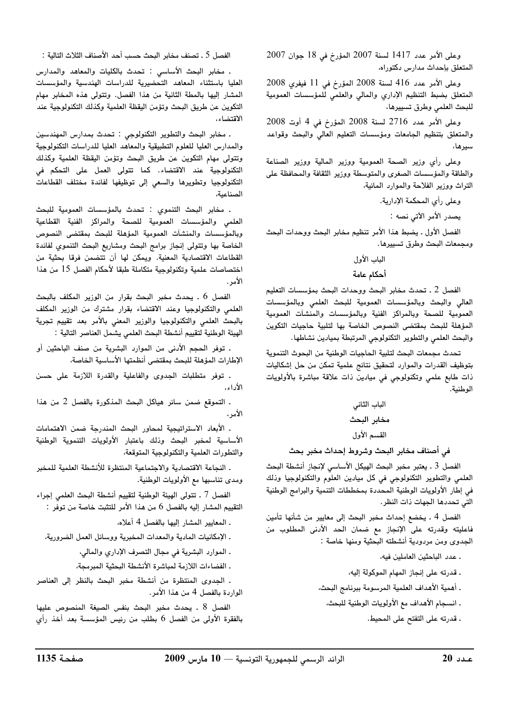$2007$  وعلى الأمر عدد 1417 لسنة 2007 المؤرخ في 18 حوان 2007 المتعلق باحداث مدارس بكتوراه،

 $2008$  وعلى الأمر عدد 416 لسنة 2008 المؤرخ في 11 فيفري 2008 المتعلق بضبط التنظيم الإداري والمالي والعلمي للمؤسسات العمومية للبحث العلمى وطرق تسييرها،

 $2008$  وعلى الأمر عدد 2716 لسنة 2008 المؤرخ في 4 أوت والمتعلق بتنظيم الجامعات ومؤسسات التعليم العالي والبحث وقواعد <u>سا ما،</u>

وعلى رأى وزير الصحة العمومية ووزير المالية ووزير الصناعة والطاقة والمؤسسات الصغرى والمتوسطة ووزير الثقافة والمحافظة على التراث ووزير الفلاجة والموارد المائية،

، على رأى المحكمة الإدارية.

يصدر الأمر الآتي نصه :

الفصل الأول . يضبط هذا الأمر تنظيم مخابر البحث ووحدات البحث ومجمعات البحث وطرق تسييرها.

## الباب الأولى

#### أحكام عامة

الفصل 2 . تحدث مخابر البحث ووحدات البحث بمؤسسات التعليم العالي والبحث وبالمؤسسات العمومية للبحث العلمي وبالمؤسسات العمومية للصحة وبالمراكز الفنية وبالمؤسسات والمنشآت العمومية المؤهلة للبحث بمقتضى النصوص الخاصة بها لتلبية حاجيات التكوين والبحث العلمي والتطوير التكنولوجي المرتبطة بميادين نشاطها.

تحدث مجمعات البحث لتلبية الحاجيات الوطنية من البحوث التنموية يتوظيف القدرات والموارد لتحقيق نتائج علمية تمكن من جل إشكاليات ذات طابع علمي وتكنولوجي في ميادين ذات علاقة مباشرة بالأولويات الوطنية.

# الباب الثاني مخابر البحث القسم الأول

# فى أصناف مخابر البحث وشروط إحداث مخبر بحث

الفصل 3 . يعتبر مخبر البحث الهيكل الأساسي لإنجاز أنشطة البحث العلمي والتطوير التكنولوجي في كل ميادين العلوم والتكنولوجيا وذلك .<br>في اطار الأولوبات الوطنية المحددة بمخططات التنمية والبرامج الوطنية التي تحددها الجهات ذات النظر.

الفصل 4 . يخضع إحداث مخبر البحث إلى معايير من شأنها تأمين .<br>فاعليته وقدرته على الإنجاز مع ضمان الحد الأدني المطلوب من الجدوى ومن مردودية أنشطته البحثية ومنها خاصة :

ـ عدد الباحثين العاملين فيه،

- . قدرته على إنجاز المهام الموكولة اليه،
- . أهمية الأهداف العلمية المرسومة ببرنامج البحث،
	- . انسجام الأهداف مع الأولويات الوطنية للبحث،
		- . قدرته على التفتح على المحيط.

الفصل 5 . تصنف مخابر البحث حسب أحد الأصناف الثلاث التالية :

. مخاد البحث الأساسي : تحدث بالكليات والمعاهد والمدارس العليا باستثناء المعاهد التحضيرية للدراسات الهندسية والمؤسسات المشار البها بالمطة الثانية من هذا الفصل. وتتولى هذه المخابر مهام التكوين عن طريق البحث وتؤمن اليقظة العلمية وكذلك التكنولوجية عند الاقتضاء،

. مخابر البحث والتطوير التكنولوجي : تحدث بمدارس المهندسين ، المدارس العليا للعلوم التطبيقية والمعاهد العليا للدراسات التكنولوجية وتتولى مهام التكوين عن طريق البحث وتؤمن اليقظة العلمية وكذلك التكنولوجية عند الاقتضاء. كما تتولى العمل على التحكم فى التكنولوجيا وتطويرها والسعى إلى توظيفها لفائدة مختلف القطاعات الصناعية،

. مخابر البحث التنموي : تحدث بالمؤسسات العمومية للبحث العلمى والمؤسسات العمومية للصحة والمراكز الفنية القطاعية وبالمؤسسات والمنشآت العمومية المؤهلة للبحث بمقتضى النصوص الخاصة بها وتتولى إنجاز بدامج البحث ومشاريع البحث التنموي لفائدة القطاعات الاقتصادية المعنية. ويمكن لها أن تتضمن فرقا بحثية من اختصاصات علمية وتكنولوجية متكاملة طبقا لأحكام الفصل 15 من هذا الامر .

الفصل 6 . يحدث مخدر البحث يقرار من الوزير المكلف بالبحث .<br>العلمي والتكنولوجيا وعند الاقتضاء بقرار مشترك من الوزير المكلف بالبحث العلمي والتكنولوجيا والوزير المعني بالأمر بعد تقييم تجرية الهيئة الوطنية لتقييم أنشطة البحث العلمى يشمل العناصر التالية :

. توفر الحجم الأدنى من الموارد البشرية من صنف الباحثين أو .<br>الإطارات المؤهلة للبحث بمقتضى أنظمتها الأساسية الخاصة،

. توفُّر متطلبات الحدوي والفاعلية والقدرة اللازمة على حسن الأداء،

. التموقع ضمن سائر هياكل البحث المذكورة بالفصل 2 من هذا الأمر ،

. الأبعاد الاستراتيجية لمجاور البحث المندرجة ضمن الاهتمامات الأساسية لمخد البحث وذلك باعتبار الأولويات التنموية الوطنية .<br>والتطورات العلمية والتكنولوجية المتوقعة،

. النجاعة الاقتصادية والاجتماعية المنتظرة للأنشطة العلمية للمخبر ومدى تناسبها مع الأولويات الوطنية.

الفصل 7 ـ تتولى الهيئة الوطنية لتقييم أنشطة البحث العلمى إجراء التقييم المشار إليه بالفصل 6 من هذا الأمر للتثبت خاصة من توفر :

. المعايد المشار البها بالفصل 4 أعلاه،

. الإمكانيات المادية والمعدات المخدية ووسائل العمل الضرورية،

. الموارد البشرية في مجال التصرف الإداري والمالي،

. الفضاءات اللازمة لمباشرة الأنشطة البحثية المبرمجة،

. الجدوى المنتظرة من أنشطة مخبر البحث بالنظر إلى العناصر الواردة بالفصل 4 من هذا الأمر .

 2009 10 –– - - 

 <sup>20</sup> الفصل 8 . يحدث مخد البحث بنفس الصيغة المنصوص عليها بالفقرة الأولى من الفصل 6 يطلب من رئيس المؤسسة بعد أخذ رأي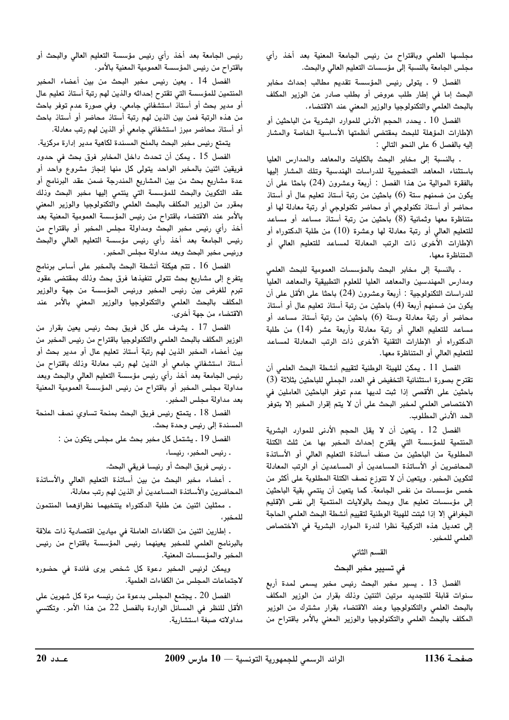مجلسها العلمى وباقتراح من رئيس الجامعة المعنية بعد أخذ رأي مجلس الجامعة بالنسبة إلى مؤسسات التعليم العالى والبحث.

الفصل 9 . يتولى رئيس المؤسسة تقديم مطالب إحداث مخابر البحث إما في إطار طلب عروض أو بطلب صادر عن الوزير المكلف بالبحث العلمي والتكنولوجيا والوزير المعني عند الاقتضاء.

الفصل 10 . يحدد الحجم الأدنى للموارد البشرية من الباحثين أو الإطارات المؤهلة للبحث بمقتضى أنظمتها الأساسية الخاصة والمشار إليه بالفصل 6 على النحو التالي :

. بالنسبة إلى مخابر البحث بالكليات والمعاهد والمدارس العليا باستثناء المعاهد التحضيرية للدراسات الهندسية وتلك المشار إليها بالفقرة الموالية من هذا الفصل : أربعة وعشرون (24) باحثا على أن يكون من ضمنهم ستة (6) باحثين من رتبة أستاذ تعليم عال أو أستاذ محاضر أو أستاذ تكنولوجى أو محاضر تكنولوجى أو رتبة معادلة لها أو متناظرة معها وثمانية (8) باحثين من رتبة أستاذ مساعد أو مساعد للتعليم العالى أو رتبة معادلة لها وعشرة (10) من طلبة الدكتوراه أو الإطارات الأخرى ذات الرتب المعادلة لمساعد للتعليم العالى أو المتناظرة معها،

. بالنسبة إلى مخابر البحث بالمؤسسات العمومية للبحث العلمى ومدارس المهندسين والمعاهد العليا للعلوم التطبيقية والمعاهد العليا للدراسات التكنولوجية : أربعة وعشرون (24) باحثا على الأقل على أن يكون من ضمنهم أربعة (4) باحثين من رتبة أستاذ تعليم عال أو أستاذ محاضر أو رتبة معادلة وستة (6) باحثين من رتبة أستاذ مساعد أو مساعد للتعليم العالي أو رتبة معادلة وأربعة عشر (14) من طلبة الدكتوراه أو الإطارات التقنية الأخرى ذات الرتب المعادلة لمساعد للتعليم العالى أو المتناظرة معها.

الفصل 11 . يمكن للهيئة الوطنية لتقييم أنشطة البحث العلمي أن تقترح بصورة استثنائية التخفيض في العدد الجملي للباحثين بثلاثة (3) باحثين على الأقصى إذا ثبت لديها عدم توفر الباحثين العاملين في الاختصاص العلمي لمخبر البحث على أن لا يتم إقرار المخبر إلا بتوفر الحد الأدنى المطلوب.

الفصل 12 . يتعين أن لا يقل الحجم الأدنى للموارد البشرية المنتمية للمؤسسة التي يقترح إحداث المخبر بها عن ثلث الكتلة المطلوبة من الباحثين من صنف أساتذة التعليم العالي أو الأساتذة المحاضرين أو الأساتذة المساعدين أو المساعدين أو الرتب المعادلة لتكوين المخبر. ويتعين أن لا تتوزع نصف الكتلة المطلوبة على أكثر من خمس مؤسسات من نفس الجامعة. كما يتعين أن ينتمى بقية الباحثين إلى مؤسسات تعليم عال وبحث بالولايات المنتمية إلى نفس الإقليم الجغرافي إلا إذا ثبتت للهيئة الوطنية لتقييم أنشطة البحث العلمي الحاجة إلى تعديل هذه التركيبة نظرا لندرة الموارد البشرية في الاختصاص العلمي للمخبر .

## القسم الثاني

#### في تسيير مخبر البحث

الفصل 13 . يسير مخبر البحث رئيس مخبر يسمى لمدة أربع سنوات قابلة للتجديد مرتين اثنتين وذلك بقرار من الوزير المكلف بالبحث العلمى والتكنولوجيا وعند الاقتضاء بقرار مشترك من الوزير المكلف بالبحث العلمى والتكنولوجيا والوزير المعنى بالأمر باقتراح من

رئيس الجامعة بعد أخذ رأي رئيس مؤسسة التعليم العالى والبحث أو باقتراح من رئيس المؤسسة العمومية المعنية بالأمر.

الفصل 14 . يعين رئيس مخبر البحث من بين أعضاء المخبر المنتمين للمؤسسة التي تقترح إحداثه والذين لهم رتبة أستاذ تعليم عال أو مدير بحث أو أستاذ استشفائي جامعي. وفي صورة عدم توفر باحث من هذه الرتبة فمن بين الذين لهم رتبة أستاذ محاضر أو أستاذ باحث أو أستاذ محاضر مبرز استشفائي جامعي أو الذين لهم رتب معادلة.

يتمتع رئيس مخبر البحث بالمنح المسندة لكاهية مدير إدارة مركزية.

الفصل 15 . يمكن أن تحدث داخل المخابر فرق بحث في حدود فريقين اثنين بالمخبر الواحد يتولى كل منها إنجاز مشروع واحد أو عدة مشاريع بحث من بين المشاريع المندرجة ضمن عقد البرنامج أو عقد التكوين والبحث للمؤسسة التى ينتمى إليها مخبر البحث وذلك بمقرر من الوزير المكلف بالبحث العلمي والتكنولوجيا والوزير المعني بالأمر عند الاقتضاء باقتراح من رئيس المؤسسة العمومية المعنية بعد أخذ رأي رئيس مخبر البحث ومداولة مجلس المخبر أو باقتراح من رئيس الجامعة بعد أخذ رأي رئيس مؤسسة التعليم العالى والبحث ورئيس مخبر البحث وبعد مداولة مجلس المخبر.

الفصل 16 . تتم هيكلة أنشطة البحث بالمخبر على أساس برنامج يتفرع إلى مشاريع بحث تتولى تنفيذها فرق بحث وذلك بمقتضى عقود تبرم للغرض بين رئيس المخبر ورئيس المؤسسة من جهة والوزير المكلف بالبحث العلمي والتكنولوجيا والوزير المعني بالأمر عند الاقتضاء من جهة أخرى.

الفصل 17 . يشرف على كل فريق بحث رئيس يعين بقرار من الوزير المكلف بالبحث العلمي والتكنولوجيا باقتراح من رئيس المخبر من بين أعضاء المخبر الذين لهم رتبة أستاذ تعليم عال أو مدير بحث أو أستاذ استشفائي جامعي أو الذين لهم رتب معادلة وذلك باقتراح من رئيس الجامعة بعد أخذ رأي رئيس مؤسسة التعليم العالى والبحث وبعد مداولة مجلس المخبر أو باقتراح من رئيس المؤسسة العمومية المعنية بعد مداولة مجلس المخبر.

الفصل 18 . يتمتع رئيس فريق البحث بمنحة تساوي نصف المنحة المسندة إلى رئيس وحدة بحث.

الفصل 19 . يشتمل كل مخبر بحث على مجلس يتكون من :

. رئيس المخبر، رئيسا،

. رئيس فريق البحث أو رئيسا فريقي البحث،

. أعضاء مخبر البحث من بين أساتذة التعليم العالى والأساتذة المحاضرين والأساتذة المساعدين أو الذين لهم رتب معادلة،

. ممثلين اثنين عن طلبة الدكتوراه ينتخبهما نظراؤهما المنتمون للمخبر ،

. إطارين اثنين من الكفاءات العاملة في ميادين اقتصادية ذات علاقة بالبرنامج العلمي للمخبر يعينهما رئيس المؤسسة باقتراح من رئيس المخبر والمؤسسات المعنية.

ويمكن لرئيس المخبر دعوة كل شخص يرى فائدة فى حضوره لاجتماعات المجلس من الكفاءات العلمية.

الفصل 20 . يجتمع المجلس بدعوة من رئيسه مرة كل شهرين على الأقل للنظر في المسائل الواردة بالفصل 22 من هذا الأمر. وتكتسي مداولاته صبغة استشارية.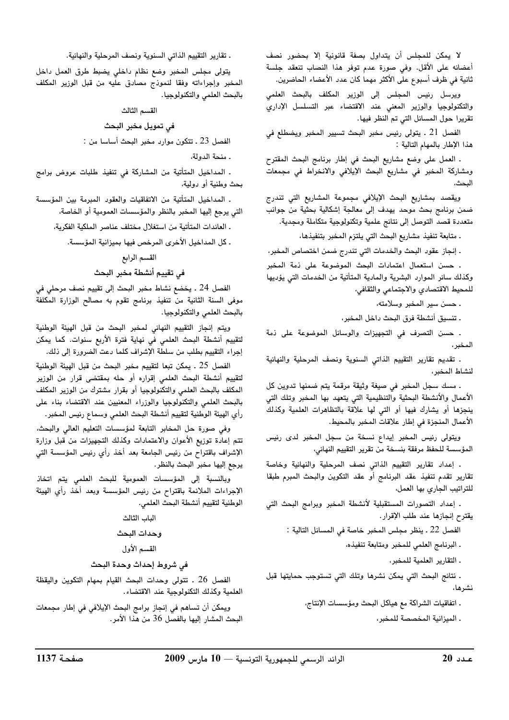لا يمكن للمجلس أن يتداول بصفة قانونية إلا بحضور نصف أعضائه على الأقل. وفي صورة عدم توفر هذا النصاب تنعقد جلسة ثانية في ظرف أسبوع على الأكثر مهما كان عدد الأعضاء الحاضرين.

ويرسل رئيس المجلس إلى الوزير المكلف بالبحث العلمي والتكنولوجيا والوزير المعني عند الاقتضاء عبر التسلسل الإداري تقريرا حول المسائل التي تم النظر فيها.

الفصل 21 . يتولى رئيس مخبر البحث تسيير المخبر ويضطلع في هذا الإطار بالمهام التالية :

. العمل على وضع مشاريع البحث في إطار برنامج البحث المقترح ومشاركة المخبر في مشاريع البحث الإيلافي والانخراط في مجمعات

ويقصد بمشاريع البحث الإيلافي مجموعة المشاريع التي تندرج ضمن برنامج بحث موحد يهدف إلى معالجة إشكالية بحثية من جوانب متعددة قصد التوصل إلى نتائج علمية وتكنولوجية متكاملة ومجدية.

ـ متابعة تنفيذ مشاريع البحث التي يلتزم المخبر بتنفيذها،

. إنجاز عقود البحث والخدمات التي تندرج ضمن اختصاص المخبر،

. حسن استعمال اعتمادات البحث الموضوعة على ذمة المخبر وكذلك سائر الموارد البشرية والمادية المتأتية من الخدمات التي يؤديها للمحيط الاقتصادي والاجتماعي والثقافي،

. حسن سير المخبر وسلامته،

. تنسيق أنشطة فرق البحث داخل المخبر،

. حسن التصرف في التجهيزات والوسائل الموضوعة على ذمة المخبر ،

. تقديم تقارير التقييم الذاتى السنوية ونصف المرحلية والنهائية لنشاط المخبر،

. مسك سجل المخبر في صيغة وثيقة مرقمة يتم ضمنها تدوين كل الأعمال والأنشطة البحثية والتنظيمية التي يتعهد بها المخبر وتلك التي ينجزها أو يشارك فيها أو التي لها علاقة بالتظاهرات العلمية وكذلك الأعمال المنجزة في إطار علاقات المخبر بالمحيط.

ويتولى رئيس المخبر إيداع نسخة من سجل المخبر لدى رئيس المؤسسة للحفظ مرفقة بنسخة من تقرير التقييم النهائى،

. إعداد تقارير التقييم الذاتى نصف المرحلية والنهائية وخاصة تقارير تقدم تنفيذ عقد البرنامج أو عقد التكوين والبحث المبرم طبقا للتراتيب الجارى بها العمل،

. إعداد التصورات المستقبلية لأنشطة المخبر وبرامج البحث التي يقترح إنجازها عند طلب الإقرار.

الفصل 22 ـ ينظر مجلس المخبر خاصة في المسائل التالية :

ـ البرنامج العلمي للمخبر ومتابعة تنفيذه،

. التقارير العلمية للمخبر،

. نتائج البحث التي يمكن نشرها وتلك التي تستوجب حمايتها قبل نشرها،

. اتفاقيات الشراكة مع هياكل البحث ومؤسسات الإنتاج،

. الميزانية المخصصة للمخبر،

. تقارير التقييم الذاتي السنوية ونصف المرحلية والنهائية.

يتولى مجلس المخبر وضع نظام داخلي يضبط طرق العمل داخل المخبر وإجراءاته وفقا لنموذج مصادق عليه من قبل الوزير المكلف بالبحث العلمى والتكنولوجيا.

القسم الثالث

فى تمويل مخبر البحث

الفصل 23 ـ تتكون موارد مخبر البحث أساسا من :

. منحة الدولة،

. المداخيل المتأتية من المشاركة في تنفيذ طلبات عروض برامج بحث وطنية أو دولية،

. المداخيل المتأتية من الاتفاقيات والعقود المبرمة بين المؤسسة التي يرجع إليها المخبر بالنظر والمؤسسات العمومية أو الخاصة،

. العائدات المتأتية من استغلال مختلف عناصر الملكية الفكرية،

. كل المداخيل الأخرى المرخص فيها بميزانية المؤسسة.

القسم الرابع

في تقييم أنشطة مخبر البحث

الفصل 24 . يخضع نشاط مخبر البحث إلى تقييم نصف مرحلي في موفى السنة الثانية من تنفيذ برنامج تقوم به مصالح الوزارة المكلفة بالبحث العلمى والتكنولوجيا.

ويتم إنجاز التقييم النهائي لمخبر البحث من قبل الهيئة الوطنية لتقييم أنشطة البحث العلمي في نهاية فترة الأربع سنوات. كما يمكن إجراء التقييم بطلب من سلطة الإشراف كلما دعت الضرورة إلى ذلك.

الفصل 25 ـ يمكن تبعا لتقييم مخبر البحث من قبل الهيئة الوطنية لتقييم أنشطة البحث العلمى إقراره أو حله بمقتضى قرار من الوزير المكلف بالبحث العلمى والتكنولوجيا أو بقرار مشترك من الوزير المكلف بالبحث العلمي والتكنولوجيا والوزراء المعنيين عند الاقتضاء بناء على رأي الهيئة الوطنية لتقييم أنشطة البحث العلمى وسماع رئيس المخبر .

وفي صورة حل المخابر التابعة لمؤسسات التعليم العالي والبحث، تتم إعادة توزيع الأعوان والاعتمادات وكذلك التجهيزات من قبل وزارة الإشراف باقتراح من رئيس الجامعة بعد أخذ رأي رئيس المؤسسة التى يرجع إليها مخبر البحث بالنظر.

وبالنسبة إلى المؤسسات العمومية للبحث العلمي يتم اتخاذ الإجراءات الملائمة باقتراح من رئيس المؤسسة وبعد أخذ رأى الهيئة الوطنية لتقييم أنشطة البحث العلمي.

> الباب الثالث وحدات البحث

القسم الأول

#### في شروط إحداث وحدة البحث

الفصل 26 . تتولى وحدات البحث القيام بمهام التكوين واليقظة العلمية وكذلك التكنولوجية عند الاقتضاء.

ويمكن أن تساهم في إنجاز برامج البحث الإيلافي في إطار مجمعات البحث المشار إليها بالفصل 36 من هذا الأمر.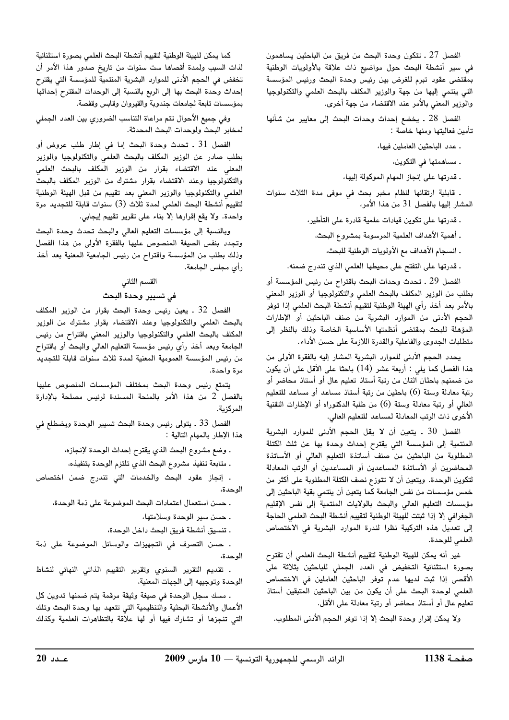الفصل 27 ـ تتكون وحدة البحث من فريق من الباحثين يساهمون في سير أنشطة البحث حول مواضيع ذات علاقة بالأولويات الوطنية بمقتضى عقود تبرم للغرض بين رئيس وحدة البحث ورئيس المؤسسة التى ينتمى إليها من جهة والوزير المكلف بالبحث العلمى والتكنولوجيا والوزير المعني بالأمر عند الاقتضاء من جهة أخرى.

الفصل 28 . يخضع إحداث وحدات البحث إلى معايير من شأنها تأمين فعاليتها ومنها خاصة :

ـ عدد الباحثين العاملين فيها،

. مساهمتها في التكوين،

ـ قدرتها على إنجاز المهام الموكولة إليها،

. قابلية ارتقائها لنظام مخبر بحث في موفى مدة الثلاث سنوات المشار إليها بالفصل 31 من هذا الأمر،

. قدرتها على تكوين قيادات علمية قادرة على التأطير،

ـ أهمية الأهداف العلمية المرسومة بمشروع البحث،

. انسجام الأهداف مع الأولويات الوطنية للبحث،

. قدرتها على التفتح على محيطها العلمي الذي تندرج ضمنه.

الفصل 29 ـ تحدث وحدات البحث باقتراح من رئيس المؤسسة أو بطلب من الوزير المكلف بالبحث العلمى والتكنولوجيا أو الوزير المعنى بالأمر بعد أخذ رأى الهيئة الوطنية لتقييم أنشطة البحث العلمى إذا توفر الحجم الأدنى من الموارد البشرية من صنف الباحثين أو الإطارات المؤهلة للبحث بمقتضى أنظمتها الأساسية الخاصة وذلك بالنظر إلى متطلبات الجدوى والفاعلية والقدرة اللازمة على حسن الأداء.

يحدد الحجم الأدنى للموارد البشرية المشار إليه بالفقرة الأولى من هذا الفصل كما يلي : أربعة عشر (14) باحثا على الأقل على أن يكون من ضمنهم باحثان اثنان من رتبة أستاذ تعليم عال أو أستاذ محاضر أو رتبة معادلة وستة (6) باحثين من رتبة أستاذ مساعد أو مساعد للتعليم العالي أو رتبة معادلة وستة (6) من طلبة الدكتوراه أو الإطارات التقنية الأخرى ذات الرتب المعادلة لمساعد للتعليم العالى.

الفصل 30 . يتعين أن لا يقل الحجم الأدنى للموارد البشرية المنتمية إلى المؤسسة التي يقترح إحداث وحدة بها عن ثلث الكتلة المطلوبة من الباحثين من صنف أساتذة التعليم العالى أو الأساتذة المحاضرين أو الأساتذة المساعدين أو المساعدين أو الرتب المعادلة لتكوين الوحدة. ويتعين أن لا تتوزع نصف الكتلة المطلوبة على أكثر من خمس مؤسسات من نفس الجامعة كما يتعين أن ينتمي بقية الباحثين إلى مؤسسات التعليم العالى والبحث بالولايات المنتمية إلى نفس الإقليم الجغرافي إلا إذا ثبتت للهيئة الوطنية لتقييم أنشطة البحث العلمي الحاجة إلى تعديل هذه التركيبة نظرا لندرة الموارد البشرية في الاختصاص العلمي للوحدة.

غير أنه يمكن للهيئة الوطنية لتقييم أنشطة البحث العلمى أن تقترح بصورة استثنائية التخفيض في العدد الجملى للباحثين بثلاثة على الأقصى إذا ثبت لديها عدم توفر الباحثين العاملين في الاختصاص العلمي لوحدة البحث على أن يكون من بين الباحثين المتبقين أستاذ تعليم عال أو أستاذ محاضر أو رتبة معادلة على الأقل.

ولا يمكن إقرار وحدة البحث إلا إذا توفر الحجم الأدنى المطلوب.

كما يمكن للهيئة الوطنية لتقييم أنشطة البحث العلمى بصورة استثنائية لذات السبب ولمدة أقصاها ست سنوات من تاريخ صدور هذا الأمر أن تخفض في الحجم الأدنى للموارد البشرية المنتمية للمؤسسة التي يقترح إحداث وحدة البحث بها إلى الربع بالنسبة إلى الوحدات المقترح إحداثها بمؤسسات تابعة لجامعات جندوبة والقيروان وقابس وقفصة.

وفي جميع الأحوال تتم مراعاة التناسب الضروري بين العدد الجملي لمخابر البحث ولوحدات البحث المحدثة.

الفصل 31 . تحدث وحدة البحث إما في إطار طلب عروض أو بطلب صادر عن الوزير المكلف بالبحث العلمى والتكنولوجيا والوزير المعنى عند الاقتضاء بقرار من الوزير المكلف بالبحث العلمى والتكنولوجيا وعند الاقتضاء بقرار مشترك من الوزير المكلف بالبحث العلمى والتكنولوجيا والوزير المعنى بعد تقييم من قبل الهيئة الوطنية لتقييم أنشطة البحث العلمي لمدة ثلاث (3) سنوات قابلة للتجديد مرة واحدة. ولا يقع إقرارها إلا بناء على تقرير تقييم إيجابي.

وبالنسبة إلى مؤسسات التعليم العالى والبحث تحدث وحدة البحث وتجدد بنفس الصيغة المنصوص عليها بالفقرة الأولى من هذا الفصل وذلك بطلب من المؤسسة واقتراح من رئيس الجامعية المعنية بعد أخذ رأى مجلس الجامعة.

## القسم الثاني

# فى تسيير وحدة البحث

الفصل 32 . يعين رئيس وحدة البحث بقرار من الوزير المكلف بالبحث العلمى والتكنولوجيا وعند الاقتضاء بقرار مشترك من الوزير المكلف بالبحث العلمي والتكنولوجيا والوزير المعني باقتراح من رئيس الجامعة وبعد أخذ رأى رئيس مؤسسة التعليم العالى والبحث أو باقتراح من رئيس المؤسسة العمومية المعنية لمدة ثلاث سنوات قابلة للتجديد مرة وإحدة.

يتمتع رئيس وحدة البحث بمختلف المؤسسات المنصوص عليها بالفصل 2 من هذا الأمر بالمنحة المسندة لرئيس مصلحة بالإدارة المركزية.

الفصل 33 . يتولى رئيس وحدة البحث تسيير الوحدة ويضطلع في هذا الإطار بالمهام التالية :

. وضع مشروع البحث الذي يقترح إحداث الوحدة لإنجازه،

. متابعة تنفيذ مشروع البحث الذي تلتزم الوحدة بتنفيذه،

. إنجاز عقود البحث والخدمات التي تندرج ضمن اختصاص الوحدة،

. حسن استعمال اعتمادات البحث الموضوعة على ذمة الوحدة،

ـ حسن سير الوحدة وسلامتها،

. تنسيق أنشطة فريق البحث داخل الوحدة،

ـ حسن التصرف في التجهيزات والوسائل الموضوعة على ذمة الوحدة،

. تقديم التقرير السنوى وتقرير التقييم الذاتى النهائى لنشاط الوحدة وتوجيهه إلى الجهات المعنية،

. مسك سجل الوحدة في صيغة وثيقة مرقمة يتم ضمنها تدوين كل الأعمال والأنشطة البحثية والتنظيمية التى تتعهد بها وحدة البحث وتلك التي تنجزها أو تشارك فيها أو لها علاقة بالتظاهرات العلمية وكذلك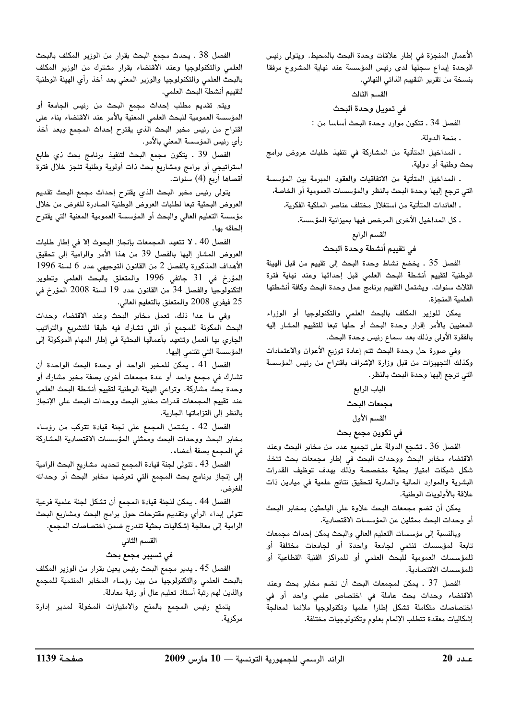الأعمال المنحزة في إطار علاقات وحدة البحث بالمجيط. ويتولى رئيس ...<br>الوحدة ابداع سجلها لدى رئيس المؤسسة عند نهاية المشروع مرفقا بنسخة من تقرير التقييم الذاتي النهائي.

#### القسم الثالث

في تمويل وحدة البحث

الفصل 34 . تتكون موارد وحدة البحث أساسا من :

. منحة الدولة،

. المداخيل المتأتية من المشاركة في تنفيذ طلبات عروض برامج بحث وطنية أو دولية،

. المداخيل المتأتية من الاتفاقيات والعقود المبرمة بين المؤسسة التي ترجع إليها وحدة البحث بالنظر والمؤسسات العمومية أو الخاصة،

. العائدات المتأتية من استغلال مختلف عناصر الملكية الفكرية،

. كل المداخيل الأخرى المرخص فيها بميزانية المؤسسة.

القسم الرابع

## في تقييم أنشطة وحدة البحث

الفصل 35 . يخضع نشاط وحدة البحث إلى تقييم من قبل الهيئة الوطنية لتقييم أنشطة البحث العلمى قبل إحداثها وعند نهاية فترة الثلاث سنوات. ويشتمل التقييم برنامج عمل وحدة البحث وكافة أنشطتها العلمية المنجزة.

يمكن للوزير المكلف بالبحث العلمي والتكنولوجيا أو الوزراء المعنيين بالأمر إقرار وحدة البحث أو حلّها تبعا للتقييم المشار إليه .<br>بالفقرة الأولى وذلك بعد سماع رئيس وحدة البحث.

وفي صورة حل وحدة البحث تتم إعادة توزيع الأعوان والاعتمادات ي.<br>وكذلك التحميزات من قبل وزارة الإشراف باقتراح من رئيس المؤسسة التي ترجع إليها وحدة البحث بالنظر.

# الباب الرابع مجمعات البحث

القسم الأول

# في تكوين مجمع بحث

الفصل 36 . تشجع الدولة على تجميع عدد من مخابر البحث وعند j. K9" 5
 -GC K9+ 51=// K9+ ".
 ?,4 .<br>شكل شبكات امتياز بحثية متخصصة وذلك بهدف توظيف القدرات البشرية والموارد المالية والمادية لتحقيق نتائج علمية في مبادين ذات علاقة بالأولويات الوطنية.

يمكن أن تضم مجمعات البحث علاوة على الباحثين بمخابر البحث أو وحدات البحث ممثلين عن المؤسسات الاقتصادية.

وبالنسبة إلى مؤسسات التعليم العالى والبحث يمكن إحداث مجمعات تابعة لمؤسسات تنتمي لجامعة واحدة أو لجامعات مختلفة أو للمؤسسات العمومية للبحث العلمى أو للمراكز الفنية القطاعية أو للمؤسسات الاقتصادية.

 2009 10 –– - - 

 <sup>20</sup> الفصل 37 . يمكن لمجمعات البحث أن تضم مخابر بحث وعند الاقتضاء وحدات بحث عاملة فى اختصاص علمى واحد أو فى .<br>اختصاصات متكاملة تشكل اطارا علميا وتكنولوجيا ملائما لمعالجة إشكاليات معقدة تتطلب الإلمام بعلوم وتكنولوجيات مختلفة.

الفصل 38 . بحدث مجمع البحث بقرار من الوزير المكلف بالبحث العلمي والتكنولوجيا وعند الاقتضاء بقرار مشترك من الوزير المكلف بالبحث العلمي والتكنولوجيا والوزير المعنى بعد أخذ رأى الهيئة الوطنية لتقييم أنشطة البحث العلمى.

.<br>ويتم تقديم مطلب إحداث مجمع البحث من رئيس الجامعة أو المؤسسة العمومية للبحث العلمى المعنية بالأمر عند الاقتضاء بناء على ...<br>اقتراح من رئيس مخدر البحث الذي يقترح إحداث المجمع وبعد أخذ . أي رئيس المؤسسة المعنى بالأمر .

الفصل 39 . يتكون مجمع البحث لتنفيذ برنامج بحث ذي طابع ستراتیجی أو برامج ومشاریع بحث زات أولوپة وطنبة تنجز خلال فترة .<br>أقصاها أربع (4) سنوات.

.<br>يتولى رئيس مخبر البحث الذي يقترح إحداث مجمع البحث تقديم العروض البحثية تبعا لطلبات العروض الوطنية الصادرة للغرض من خلال مؤسسة التعليم العالي والبحث أو المؤسسة العمومية المعنية التي يقترح إلحاقه بها.

الفصل 40 . لا تتعهد المحمعات بانجاز البحوث الا في إطار طلبات العروض المشار البما بالفصل 39 من هذا الأمر والرامية إلى تحقيق  $1996$  الأهداف المذكورة بالفصل 2 من القانون التوجيص عدد 6 لسنة 1996 $\,$ المؤرخ في 31 حانف 1996 والمتعلق بالبحث العلمي وتطوير التكنولوجيا والفصل 34 من القانون عدد 19 لسنة 2008 المؤرخ في 25 فيفري 2008 والمتعلق بالتعليم العالي.

وفي ما عدا ذلك، تعمل مخابر البحث وعند الاقتضاء وحدات .<br>البحث المكونة للمجمع أو التي تشارك فيه طبقا للتشريع والتراتيب الحاري بها العمل وتتعهد بأعمالها البحثية في إطار المهام الموكولة الي المؤسسة التي تنتمي إليها.

الفصل 41 . يمكن للمخبر الواحد أو وحدة البحث الواحدة أن .<br>تشارك في مجمع واحد أو عدة مجمعات أخرى بصفة مخد مشارك أو وحدة بحث مشاركة. وتراعي الهيئة الوطنية لتقييم أنشطة البحث العلمي ـ.<br>عند تقييم المجمعات قدرات مخابر البحث ووحدات البحث على الإنجاز .<br>بالنظر الى التزاماتها الجارية.

الفصل 42 . يشتمل المجمع على لجنة قيادة تتركب من رؤساء .<br>مخابر البحث ووجدات البحث وممثلي المؤسسات الاقتصادية المشاركة في المجمع بصفة أعضاء.

الفصل 43 . تتولى لحنة قيادة المجمع تجديد مشاريع البحث الرامية إلى إنجاز برنامج بحث المجمع التي تعرضها مخابر البحث أو وحداته للغرض.

الفصل 44 ـ يمكن للجنة قيادة المجمع أن تشكل لجنة علمية فرعية .<br>تتولى إبداء الرأي وتقديم مقترحات حول برامج البحث ومشاريع البحث سبب المسلمين.<br>كما أهداف الله معالجة اشكاليات بحثية تندرج ضمن اختصاصات المجمع.

## القسم الثاني

### في تسيير مجمع بحث

الفصل 45 ـ يدبر مجمع البحث رئيس بعين بقرار من الوزير المكلف .<br>بالبحث العلمي والتكنولوجيا من بين رؤساء المخابر المنتمية للمجمع .<br>والذين لهم رتبة أستاذ تعليم عال أو رتبة معادلة.

.<br>يتمتع رئيس المجمع بالمنح والامتيازات المخولة لمدب ادارة مركزية.